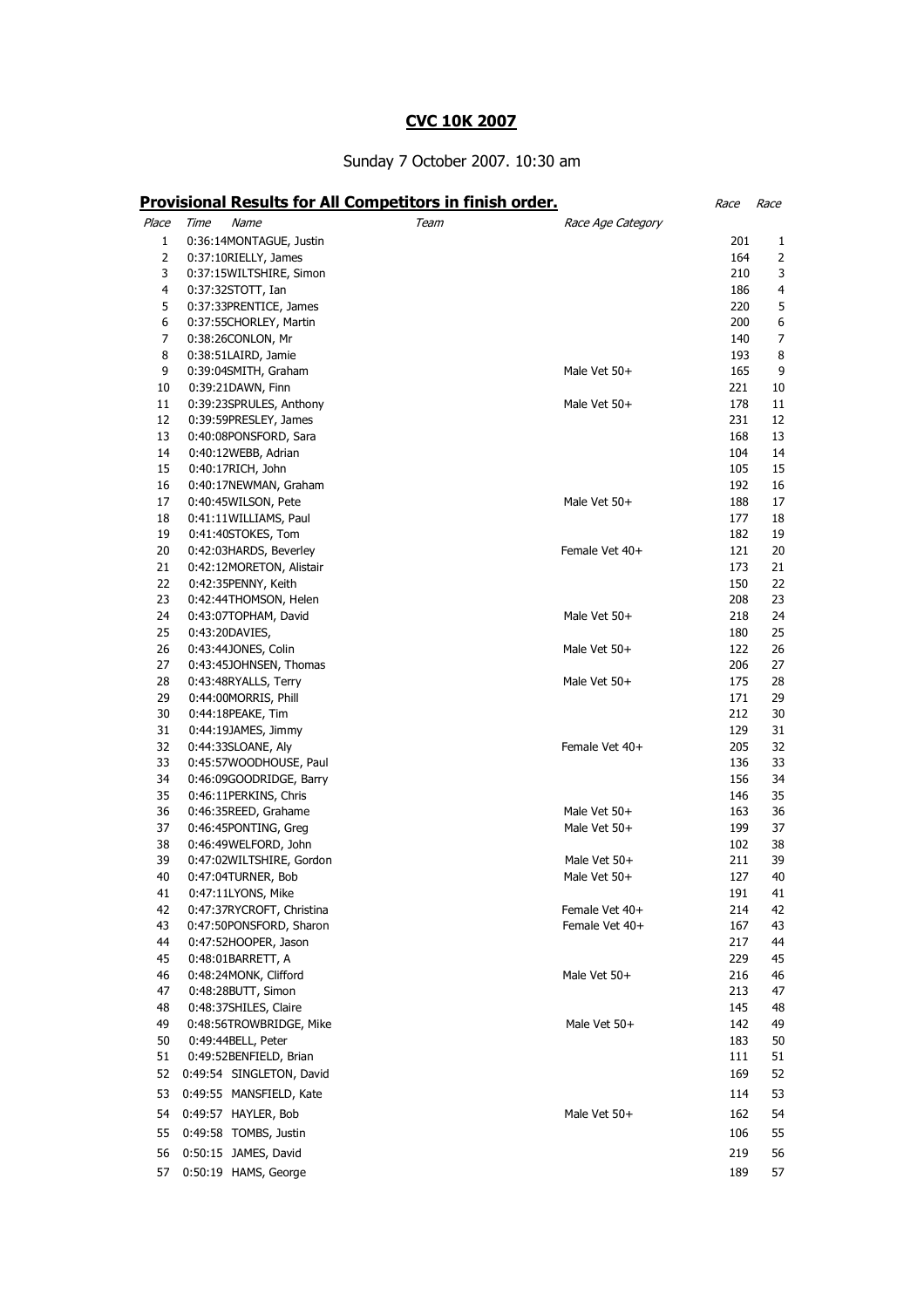## CVC 10K 2007

## Sunday 7 October 2007. 10:30 am

|          | <b>Provisional Results for All Competitors in finish order.</b> |      |                   | Race       | Race     |
|----------|-----------------------------------------------------------------|------|-------------------|------------|----------|
| Place    | Time<br>Name                                                    | Team | Race Age Category |            |          |
| 1        | 0:36:14MONTAGUE, Justin                                         |      |                   | 201        | 1        |
| 2        | 0:37:10RIELLY, James                                            |      |                   |            | 164<br>2 |
| 3        | 0:37:15WILTSHIRE, Simon                                         |      |                   | 210        | 3        |
| 4        | $0:37:32STOTT$ , Ian                                            |      |                   | 186        | 4        |
| 5        | 0:37:33PRENTICE, James                                          |      |                   | 220        | 5        |
| 6        | 0:37:55CHORLEY, Martin                                          |      |                   | 200        | 6        |
| 7        | 0:38:26CONLON, Mr                                               |      |                   | 140        | 7        |
| 8        | 0:38:51LAIRD, Jamie                                             |      |                   | 193        | 8        |
| 9        | 0:39:04SMITH, Graham                                            |      | Male Vet 50+      | 165        | 9        |
| 10       | 0:39:21DAWN, Finn                                               |      |                   | 221        | 10       |
| 11       | 0:39:23SPRULES, Anthony                                         |      | Male Vet 50+      | 178        | 11       |
| 12       | 0:39:59PRESLEY, James                                           |      |                   | 231        | 12       |
| 13       | 0:40:08PONSFORD, Sara                                           |      |                   | 168        | 13       |
| 14       | 0:40:12WEBB, Adrian                                             |      |                   | 104        | 14       |
| 15       | 0:40:17RICH, John                                               |      |                   | 105        | 15       |
| 16       | 0:40:17NEWMAN, Graham                                           |      |                   | 192        | 16       |
| 17       | 0:40:45WILSON, Pete                                             |      | Male Vet 50+      | 188        | 17       |
| 18       | 0:41:11WILLIAMS, Paul                                           |      |                   | 177        | 18       |
| 19       | 0:41:40STOKES, Tom                                              |      |                   | 182        | 19       |
| 20<br>21 | 0:42:03HARDS, Beverley                                          |      | Female Vet 40+    | 121<br>173 | 20<br>21 |
| 22       | 0:42:12MORETON, Alistair<br>0:42:35PENNY, Keith                 |      |                   | 150        | 22       |
| 23       | 0:42:44THOMSON, Helen                                           |      |                   | 208        | 23       |
| 24       | 0:43:07TOPHAM, David                                            |      | Male Vet 50+      | 218        | 24       |
| 25       | 0:43:20DAVIES,                                                  |      |                   | 180        | 25       |
| 26       | 0:43:44JONES, Colin                                             |      | Male Vet 50+      | 122        | 26       |
| 27       | 0:43:45JOHNSEN, Thomas                                          |      |                   | 206        | 27       |
| 28       | 0:43:48RYALLS, Terry                                            |      | Male Vet 50+      | 175        | 28       |
| 29       | 0:44:00MORRIS, Phill                                            |      |                   | 171        | 29       |
| 30       | 0:44:18PEAKE, Tim                                               |      |                   | 212        | 30       |
| 31       | $0:44:19$ JAMES, Jimmy                                          |      |                   | 129        | 31       |
| 32       | 0:44:33SLOANE, Aly                                              |      | Female Vet 40+    | 205        | 32       |
| 33       | 0:45:57WOODHOUSE, Paul                                          |      |                   | 136        | 33       |
| 34       | 0:46:09GOODRIDGE, Barry                                         |      |                   | 156        | 34       |
| 35       | 0:46:11PERKINS, Chris                                           |      |                   | 146        | 35       |
| 36       | 0:46:35REED, Grahame                                            |      | Male Vet 50+      | 163        | 36       |
| 37       | 0:46:45PONTING, Greg                                            |      | Male Vet 50+      | 199        | 37       |
| 38       | 0:46:49WELFORD, John                                            |      |                   | 102        | 38       |
| 39       | 0:47:02WILTSHIRE, Gordon                                        |      | Male Vet 50+      | 211        | 39       |
| 40       | 0:47:04TURNER, Bob                                              |      | Male Vet 50+      | 127        | 40       |
| 41       | 0:47:11LYONS, Mike                                              |      |                   | 191        | 41       |
| 42       | 0:47:37RYCROFT, Christina                                       |      | Female Vet 40+    | 214        | 42       |
| 43<br>44 | 0:47:50PONSFORD, Sharon                                         |      | Female Vet 40+    | 167<br>217 | 43<br>44 |
| 45       | 0:47:52HOOPER, Jason<br>0:48:01BARRETT, A                       |      |                   | 229        | 45       |
| 46       | 0:48:24MONK, Clifford                                           |      | Male Vet 50+      | 216        | 46       |
| 47       | 0:48:28BUTT, Simon                                              |      |                   | 213        | 47       |
| 48       | 0:48:37SHILES, Claire                                           |      |                   | 145        | 48       |
| 49       | 0:48:56TROWBRIDGE, Mike                                         |      | Male Vet 50+      | 142        | 49       |
| 50       | 0:49:44BELL, Peter                                              |      |                   | 183        | 50       |
| 51       | 0:49:52BENFIELD, Brian                                          |      |                   | 111        | 51       |
| 52       | 0:49:54 SINGLETON, David                                        |      |                   | 169        | 52       |
| 53       | 0:49:55 MANSFIELD, Kate                                         |      |                   | 114        | 53       |
| 54       | 0:49:57 HAYLER, Bob                                             |      | Male Vet 50+      | 162        | 54       |
| 55       | 0:49:58 TOMBS, Justin                                           |      |                   | 106        | 55       |
| 56       | 0:50:15 JAMES, David                                            |      |                   | 219        | 56       |
|          |                                                                 |      |                   |            |          |
| 57       | 0:50:19 HAMS, George                                            |      |                   | 189        | 57       |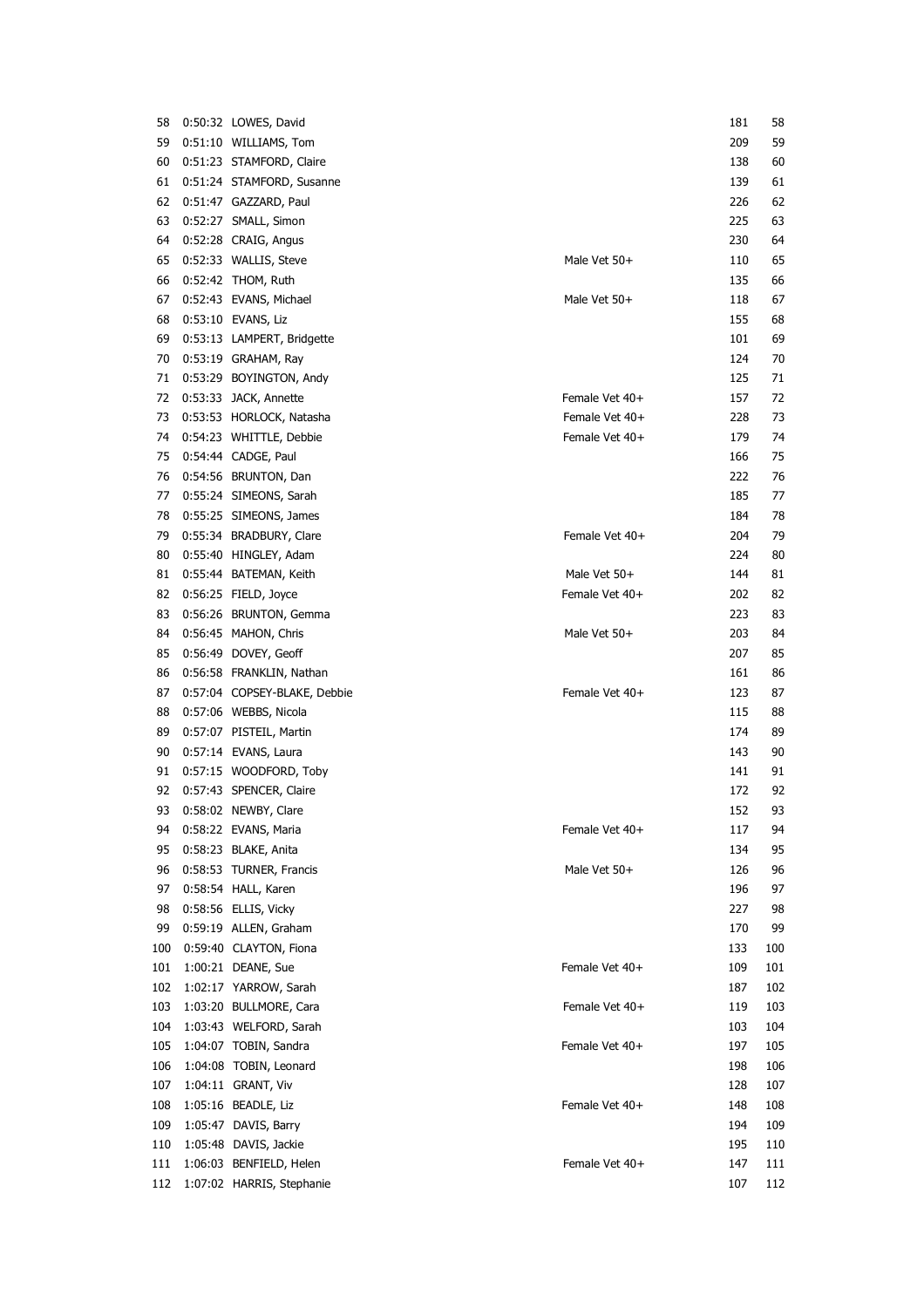| 58         | 0:50:32 LOWES, David                         |                | 181        | 58         |
|------------|----------------------------------------------|----------------|------------|------------|
| 59         | 0:51:10 WILLIAMS, Tom                        |                | 209        | 59         |
| 60         | 0:51:23 STAMFORD, Claire                     |                | 138        | 60         |
| 61         | 0:51:24 STAMFORD, Susanne                    |                | 139        | 61         |
| 62         | 0:51:47 GAZZARD, Paul                        |                | 226        | 62         |
| 63         | 0:52:27 SMALL, Simon                         |                | 225        | 63         |
| 64         | 0:52:28 CRAIG, Angus                         |                | 230        | 64         |
| 65         | 0:52:33 WALLIS, Steve                        | Male Vet 50+   | 110        | 65         |
| 66         | 0:52:42 THOM, Ruth                           |                | 135        | 66         |
| 67         | 0:52:43 EVANS, Michael                       | Male Vet 50+   | 118        | 67         |
| 68         | 0:53:10 EVANS, Liz                           |                | 155        | 68         |
| 69         | 0:53:13 LAMPERT, Bridgette                   |                | 101        | 69         |
| 70         | 0:53:19 GRAHAM, Ray                          |                | 124        | 70         |
| 71         | 0:53:29 BOYINGTON, Andy                      |                | 125        | 71         |
| 72         | 0:53:33 JACK, Annette                        | Female Vet 40+ | 157        | 72         |
| 73         | 0:53:53 HORLOCK, Natasha                     | Female Vet 40+ | 228        | 73         |
| 74         | 0:54:23 WHITTLE, Debbie                      | Female Vet 40+ | 179        | 74         |
| 75         | 0:54:44 CADGE, Paul                          |                | 166        | 75         |
| 76         | 0:54:56 BRUNTON, Dan                         |                | 222        | 76         |
| 77         | 0:55:24 SIMEONS, Sarah                       |                | 185        | 77         |
| 78         | 0:55:25 SIMEONS, James                       |                | 184        | 78         |
| 79         | 0:55:34 BRADBURY, Clare                      | Female Vet 40+ | 204        | 79         |
| 80         | 0:55:40 HINGLEY, Adam                        |                | 224        | 80         |
| 81         | 0:55:44 BATEMAN, Keith                       | Male Vet 50+   | 144        | 81         |
| 82         | 0:56:25 FIELD, Joyce                         | Female Vet 40+ | 202        | 82         |
| 83         | 0:56:26 BRUNTON, Gemma                       |                | 223        | 83         |
| 84         | 0:56:45 MAHON, Chris                         | Male Vet 50+   | 203        | 84         |
| 85         | 0:56:49 DOVEY, Geoff                         |                | 207        | 85         |
| 86         | 0:56:58 FRANKLIN, Nathan                     |                | 161        | 86         |
| 87         | 0:57:04 COPSEY-BLAKE, Debbie                 | Female Vet 40+ | 123        | 87         |
| 88         | 0:57:06 WEBBS, Nicola                        |                | 115        | 88         |
| 89         | 0:57:07 PISTEIL, Martin                      |                | 174        | 89         |
| 90         | 0:57:14 EVANS, Laura                         |                | 143        | 90         |
| 91         | 0:57:15 WOODFORD, Toby                       |                | 141        | 91         |
| 92         | 0:57:43 SPENCER, Claire                      |                | 172        | 92         |
|            | 93 0:58:02 NEWBY, Clare                      |                | 152        | 93         |
| 94         | 0:58:22 EVANS, Maria                         | Female Vet 40+ | 117        | 94         |
| 95         | 0:58:23 BLAKE, Anita                         |                | 134        | 95         |
| 96         | 0:58:53 TURNER, Francis                      | Male Vet 50+   | 126        | 96         |
| 97         | 0:58:54 HALL, Karen                          |                | 196        | 97         |
| 98         | 0:58:56 ELLIS, Vicky                         |                | 227        | 98         |
| 99         | 0:59:19 ALLEN, Graham                        |                | 170        | 99         |
| 100        | 0:59:40 CLAYTON, Fiona                       |                | 133        | 100        |
| 101        | 1:00:21 DEANE, Sue                           | Female Vet 40+ | 109        | 101        |
| 102        | 1:02:17 YARROW, Sarah                        |                | 187        | 102        |
| 103        | 1:03:20 BULLMORE, Cara                       | Female Vet 40+ | 119        | 103        |
| 104        | 1:03:43 WELFORD, Sarah                       |                | 103        | 104        |
| 105        | 1:04:07 TOBIN, Sandra                        | Female Vet 40+ | 197        | 105        |
|            |                                              |                |            |            |
| 106<br>107 | 1:04:08 TOBIN, Leonard<br>1:04:11 GRANT, Viv |                | 198<br>128 | 106<br>107 |
|            |                                              |                |            |            |
| 108        | 1:05:16 BEADLE, Liz                          | Female Vet 40+ | 148        | 108        |
| 109        | 1:05:47 DAVIS, Barry                         |                | 194        | 109        |
| 110        | 1:05:48 DAVIS, Jackie                        |                | 195        | 110        |
| 111        | 1:06:03 BENFIELD, Helen                      | Female Vet 40+ | 147        | 111        |
| 112        | 1:07:02 HARRIS, Stephanie                    |                | 107        | 112        |